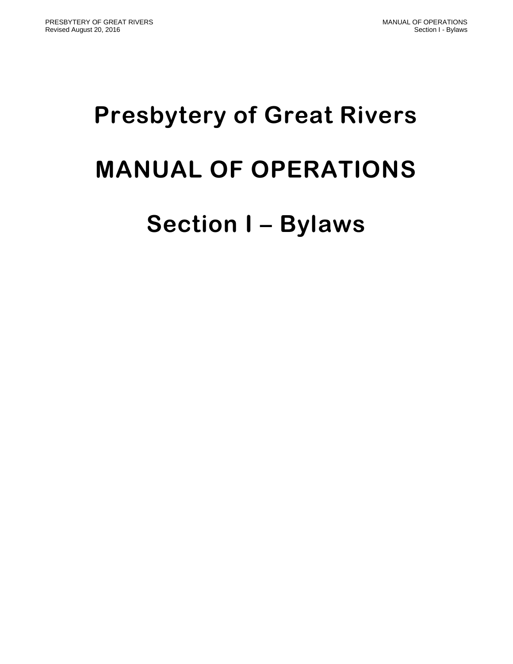# **Presbytery of Great Rivers MANUAL OF OPERATIONS**

## **Section I – Bylaws**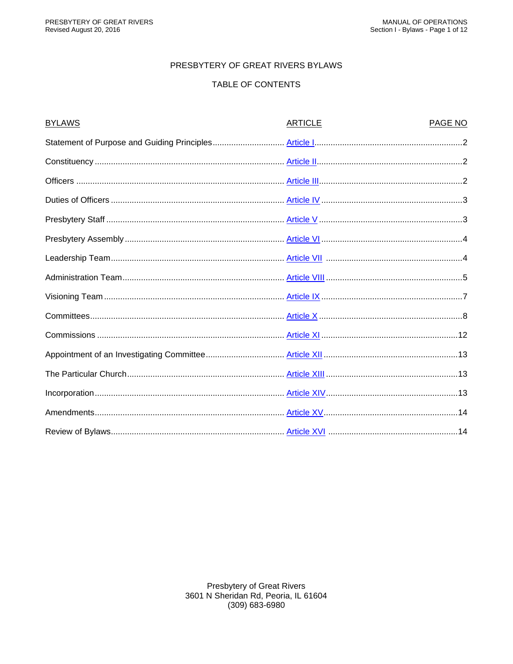#### PRESBYTERY OF GREAT RIVERS BYLAWS

#### TABLE OF CONTENTS

| <b>BYLAWS</b> | <b>ARTICLE</b> | PAGE NO |
|---------------|----------------|---------|
|               |                |         |
|               |                |         |
|               |                |         |
|               |                |         |
|               |                |         |
|               |                |         |
|               |                |         |
|               |                |         |
|               |                |         |
|               |                |         |
|               |                |         |
|               |                |         |
|               |                |         |
|               |                |         |
|               |                |         |
|               |                |         |
|               |                |         |

**Presbytery of Great Rivers** 3601 N Sheridan Rd, Peoria, IL 61604 (309) 683-6980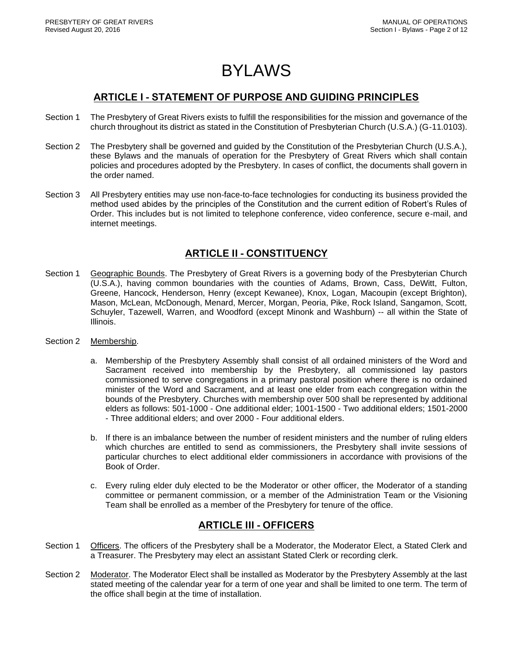### BYLAWS

#### **ARTICLE I - STATEMENT OF PURPOSE AND GUIDING PRINCIPLES**

- <span id="page-2-0"></span>Section 1 The Presbytery of Great Rivers exists to fulfill the responsibilities for the mission and governance of the church throughout its district as stated in the Constitution of Presbyterian Church (U.S.A.) (G-11.0103).
- Section 2 The Presbytery shall be governed and guided by the Constitution of the Presbyterian Church (U.S.A.), these Bylaws and the manuals of operation for the Presbytery of Great Rivers which shall contain policies and procedures adopted by the Presbytery. In cases of conflict, the documents shall govern in the order named.
- Section 3 All Presbytery entities may use non-face-to-face technologies for conducting its business provided the method used abides by the principles of the Constitution and the current edition of Robert's Rules of Order. This includes but is not limited to telephone conference, video conference, secure e-mail, and internet meetings.

#### **ARTICLE II - CONSTITUENCY**

- <span id="page-2-1"></span>Section 1 Geographic Bounds. The Presbytery of Great Rivers is a governing body of the Presbyterian Church (U.S.A.), having common boundaries with the counties of Adams, Brown, Cass, DeWitt, Fulton, Greene, Hancock, Henderson, Henry (except Kewanee), Knox, Logan, Macoupin (except Brighton), Mason, McLean, McDonough, Menard, Mercer, Morgan, Peoria, Pike, Rock Island, Sangamon, Scott, Schuyler, Tazewell, Warren, and Woodford (except Minonk and Washburn) -- all within the State of Illinois.
- Section 2 Membership.
	- a. Membership of the Presbytery Assembly shall consist of all ordained ministers of the Word and Sacrament received into membership by the Presbytery, all commissioned lay pastors commissioned to serve congregations in a primary pastoral position where there is no ordained minister of the Word and Sacrament, and at least one elder from each congregation within the bounds of the Presbytery. Churches with membership over 500 shall be represented by additional elders as follows: 501-1000 - One additional elder; 1001-1500 - Two additional elders; 1501-2000 - Three additional elders; and over 2000 - Four additional elders.
	- b. If there is an imbalance between the number of resident ministers and the number of ruling elders which churches are entitled to send as commissioners, the Presbytery shall invite sessions of particular churches to elect additional elder commissioners in accordance with provisions of the Book of Order.
	- c. Every ruling elder duly elected to be the Moderator or other officer, the Moderator of a standing committee or permanent commission, or a member of the Administration Team or the Visioning Team shall be enrolled as a member of the Presbytery for tenure of the office.

#### **ARTICLE III - OFFICERS**

- <span id="page-2-2"></span>Section 1 Officers. The officers of the Presbytery shall be a Moderator, the Moderator Elect, a Stated Clerk and a Treasurer. The Presbytery may elect an assistant Stated Clerk or recording clerk.
- Section 2 Moderator. The Moderator Elect shall be installed as Moderator by the Presbytery Assembly at the last stated meeting of the calendar year for a term of one year and shall be limited to one term. The term of the office shall begin at the time of installation.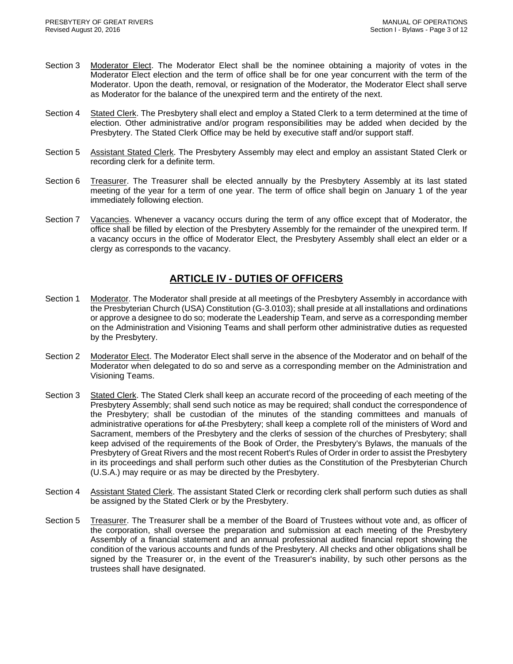- Section 3 Moderator Elect. The Moderator Elect shall be the nominee obtaining a majority of votes in the Moderator Elect election and the term of office shall be for one year concurrent with the term of the Moderator. Upon the death, removal, or resignation of the Moderator, the Moderator Elect shall serve as Moderator for the balance of the unexpired term and the entirety of the next.
- Section 4 Stated Clerk. The Presbytery shall elect and employ a Stated Clerk to a term determined at the time of election. Other administrative and/or program responsibilities may be added when decided by the Presbytery. The Stated Clerk Office may be held by executive staff and/or support staff.
- Section 5 Assistant Stated Clerk. The Presbytery Assembly may elect and employ an assistant Stated Clerk or recording clerk for a definite term.
- Section 6 Treasurer. The Treasurer shall be elected annually by the Presbytery Assembly at its last stated meeting of the year for a term of one year. The term of office shall begin on January 1 of the year immediately following election.
- Section 7 Vacancies. Whenever a vacancy occurs during the term of any office except that of Moderator, the office shall be filled by election of the Presbytery Assembly for the remainder of the unexpired term. If a vacancy occurs in the office of Moderator Elect, the Presbytery Assembly shall elect an elder or a clergy as corresponds to the vacancy.

#### **ARTICLE IV - DUTIES OF OFFICERS**

- <span id="page-3-0"></span>Section 1 Moderator. The Moderator shall preside at all meetings of the Presbytery Assembly in accordance with the Presbyterian Church (USA) Constitution (G-3.0103); shall preside at all installations and ordinations or approve a designee to do so; moderate the Leadership Team, and serve as a corresponding member on the Administration and Visioning Teams and shall perform other administrative duties as requested by the Presbytery.
- Section 2 Moderator Elect. The Moderator Elect shall serve in the absence of the Moderator and on behalf of the Moderator when delegated to do so and serve as a corresponding member on the Administration and Visioning Teams.
- Section 3 Stated Clerk. The Stated Clerk shall keep an accurate record of the proceeding of each meeting of the Presbytery Assembly; shall send such notice as may be required; shall conduct the correspondence of the Presbytery; shall be custodian of the minutes of the standing committees and manuals of administrative operations for ef-the Presbytery; shall keep a complete roll of the ministers of Word and Sacrament, members of the Presbytery and the clerks of session of the churches of Presbytery; shall keep advised of the requirements of the Book of Order, the Presbytery's Bylaws, the manuals of the Presbytery of Great Rivers and the most recent Robert's Rules of Order in order to assist the Presbytery in its proceedings and shall perform such other duties as the Constitution of the Presbyterian Church (U.S.A.) may require or as may be directed by the Presbytery.
- Section 4 Assistant Stated Clerk. The assistant Stated Clerk or recording clerk shall perform such duties as shall be assigned by the Stated Clerk or by the Presbytery.
- Section 5 Treasurer. The Treasurer shall be a member of the Board of Trustees without vote and, as officer of the corporation, shall oversee the preparation and submission at each meeting of the Presbytery Assembly of a financial statement and an annual professional audited financial report showing the condition of the various accounts and funds of the Presbytery. All checks and other obligations shall be signed by the Treasurer or, in the event of the Treasurer's inability, by such other persons as the trustees shall have designated.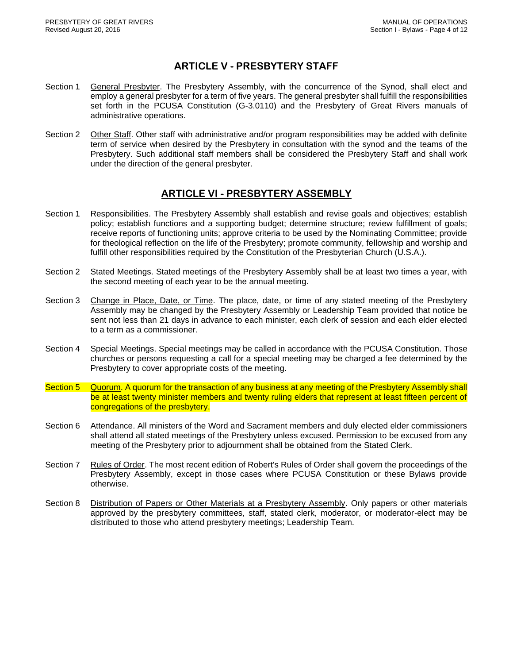#### **ARTICLE V - PRESBYTERY STAFF**

- <span id="page-4-0"></span>Section 1 General Presbyter. The Presbytery Assembly, with the concurrence of the Synod, shall elect and employ a general presbyter for a term of five years. The general presbyter shall fulfill the responsibilities set forth in the PCUSA Constitution (G-3.0110) and the Presbytery of Great Rivers manuals of administrative operations.
- Section 2 Other Staff. Other staff with administrative and/or program responsibilities may be added with definite term of service when desired by the Presbytery in consultation with the synod and the teams of the Presbytery. Such additional staff members shall be considered the Presbytery Staff and shall work under the direction of the general presbyter.

#### **ARTICLE VI - PRESBYTERY ASSEMBLY**

- <span id="page-4-1"></span>Section 1 Responsibilities. The Presbytery Assembly shall establish and revise goals and objectives; establish policy; establish functions and a supporting budget; determine structure; review fulfillment of goals; receive reports of functioning units; approve criteria to be used by the Nominating Committee; provide for theological reflection on the life of the Presbytery; promote community, fellowship and worship and fulfill other responsibilities required by the Constitution of the Presbyterian Church (U.S.A.).
- Section 2 Stated Meetings. Stated meetings of the Presbytery Assembly shall be at least two times a year, with the second meeting of each year to be the annual meeting.
- Section 3 Change in Place, Date, or Time. The place, date, or time of any stated meeting of the Presbytery Assembly may be changed by the Presbytery Assembly or Leadership Team provided that notice be sent not less than 21 days in advance to each minister, each clerk of session and each elder elected to a term as a commissioner.
- Section 4 Special Meetings. Special meetings may be called in accordance with the PCUSA Constitution. Those churches or persons requesting a call for a special meeting may be charged a fee determined by the Presbytery to cover appropriate costs of the meeting.
- Section 5 Quorum. A quorum for the transaction of any business at any meeting of the Presbytery Assembly shall be at least twenty minister members and twenty ruling elders that represent at least fifteen percent of congregations of the presbytery.
- Section 6 Attendance. All ministers of the Word and Sacrament members and duly elected elder commissioners shall attend all stated meetings of the Presbytery unless excused. Permission to be excused from any meeting of the Presbytery prior to adjournment shall be obtained from the Stated Clerk.
- Section 7 Rules of Order. The most recent edition of Robert's Rules of Order shall govern the proceedings of the Presbytery Assembly, except in those cases where PCUSA Constitution or these Bylaws provide otherwise.
- Section 8 Distribution of Papers or Other Materials at a Presbytery Assembly. Only papers or other materials approved by the presbytery committees, staff, stated clerk, moderator, or moderator-elect may be distributed to those who attend presbytery meetings; Leadership Team.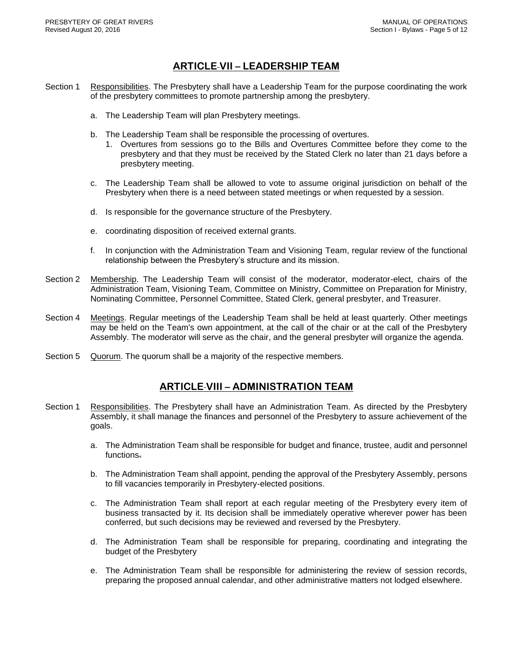#### **ARTICLE VII – LEADERSHIP TEAM**

- <span id="page-5-0"></span>Section 1 Responsibilities. The Presbytery shall have a Leadership Team for the purpose coordinating the work of the presbytery committees to promote partnership among the presbytery.
	- a. The Leadership Team will plan Presbytery meetings.
	- b. The Leadership Team shall be responsible the processing of overtures.
		- 1. Overtures from sessions go to the Bills and Overtures Committee before they come to the presbytery and that they must be received by the Stated Clerk no later than 21 days before a presbytery meeting.
	- c. The Leadership Team shall be allowed to vote to assume original jurisdiction on behalf of the Presbytery when there is a need between stated meetings or when requested by a session.
	- d. Is responsible for the governance structure of the Presbytery.
	- e. coordinating disposition of received external grants.
	- f. In conjunction with the Administration Team and Visioning Team, regular review of the functional relationship between the Presbytery's structure and its mission.
- Section 2 Membership. The Leadership Team will consist of the moderator, moderator-elect, chairs of the Administration Team, Visioning Team, Committee on Ministry, Committee on Preparation for Ministry, Nominating Committee, Personnel Committee, Stated Clerk, general presbyter, and Treasurer.
- Section 4 Meetings. Regular meetings of the Leadership Team shall be held at least quarterly. Other meetings may be held on the Team's own appointment, at the call of the chair or at the call of the Presbytery Assembly. The moderator will serve as the chair, and the general presbyter will organize the agenda.
- Section 5 Quorum. The quorum shall be a majority of the respective members.

#### **ARTICLE VIII – ADMINISTRATION TEAM**

- <span id="page-5-1"></span>Section 1 Responsibilities. The Presbytery shall have an Administration Team. As directed by the Presbytery Assembly, it shall manage the finances and personnel of the Presbytery to assure achievement of the goals.
	- a. The Administration Team shall be responsible for budget and finance, trustee, audit and personnel functions.
	- b. The Administration Team shall appoint, pending the approval of the Presbytery Assembly, persons to fill vacancies temporarily in Presbytery-elected positions.
	- c. The Administration Team shall report at each regular meeting of the Presbytery every item of business transacted by it. Its decision shall be immediately operative wherever power has been conferred, but such decisions may be reviewed and reversed by the Presbytery.
	- d. The Administration Team shall be responsible for preparing, coordinating and integrating the budget of the Presbytery
	- e. The Administration Team shall be responsible for administering the review of session records, preparing the proposed annual calendar, and other administrative matters not lodged elsewhere.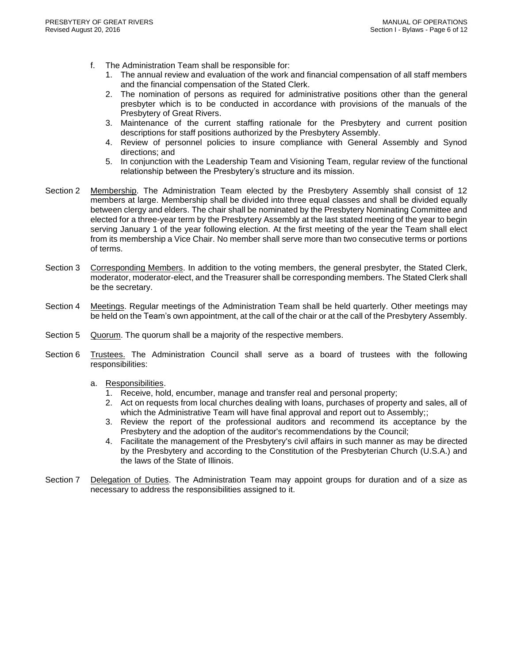- f. The Administration Team shall be responsible for:
	- 1. The annual review and evaluation of the work and financial compensation of all staff members and the financial compensation of the Stated Clerk.
	- 2. The nomination of persons as required for administrative positions other than the general presbyter which is to be conducted in accordance with provisions of the manuals of the Presbytery of Great Rivers.
	- 3. Maintenance of the current staffing rationale for the Presbytery and current position descriptions for staff positions authorized by the Presbytery Assembly.
	- 4. Review of personnel policies to insure compliance with General Assembly and Synod directions; and
	- 5. In conjunction with the Leadership Team and Visioning Team, regular review of the functional relationship between the Presbytery's structure and its mission.
- Section 2 Membership. The Administration Team elected by the Presbytery Assembly shall consist of 12 members at large. Membership shall be divided into three equal classes and shall be divided equally between clergy and elders. The chair shall be nominated by the Presbytery Nominating Committee and elected for a three-year term by the Presbytery Assembly at the last stated meeting of the year to begin serving January 1 of the year following election. At the first meeting of the year the Team shall elect from its membership a Vice Chair. No member shall serve more than two consecutive terms or portions of terms.
- Section 3 Corresponding Members. In addition to the voting members, the general presbyter, the Stated Clerk, moderator, moderator-elect, and the Treasurer shall be corresponding members. The Stated Clerk shall be the secretary.
- Section 4 Meetings. Regular meetings of the Administration Team shall be held quarterly. Other meetings may be held on the Team's own appointment, at the call of the chair or at the call of the Presbytery Assembly.
- Section 5 Quorum. The quorum shall be a majority of the respective members.
- Section 6 Trustees. The Administration Council shall serve as a board of trustees with the following responsibilities:
	- a. Responsibilities.
		- 1. Receive, hold, encumber, manage and transfer real and personal property;
		- 2. Act on requests from local churches dealing with loans, purchases of property and sales, all of which the Administrative Team will have final approval and report out to Assembly;;
		- 3. Review the report of the professional auditors and recommend its acceptance by the Presbytery and the adoption of the auditor's recommendations by the Council;
		- 4. Facilitate the management of the Presbytery's civil affairs in such manner as may be directed by the Presbytery and according to the Constitution of the Presbyterian Church (U.S.A.) and the laws of the State of Illinois.
- Section 7 Delegation of Duties. The Administration Team may appoint groups for duration and of a size as necessary to address the responsibilities assigned to it.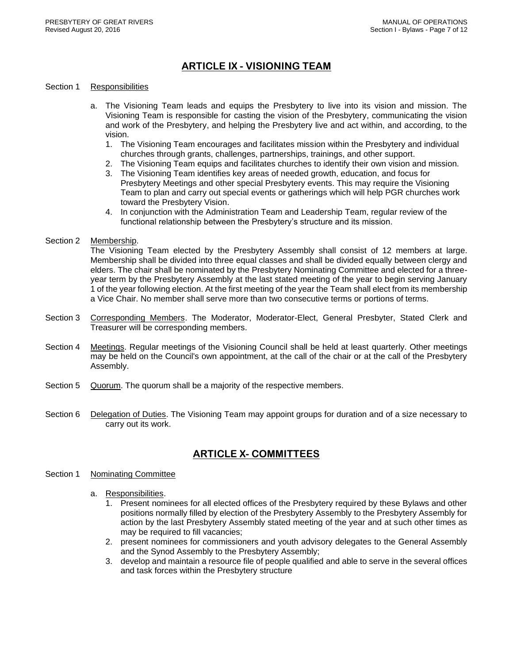#### **ARTICLE IX - VISIONING TEAM**

#### <span id="page-7-0"></span>Section 1 Responsibilities

- a. The Visioning Team leads and equips the Presbytery to live into its vision and mission. The Visioning Team is responsible for casting the vision of the Presbytery, communicating the vision and work of the Presbytery, and helping the Presbytery live and act within, and according, to the vision.
	- 1. The Visioning Team encourages and facilitates mission within the Presbytery and individual churches through grants, challenges, partnerships, trainings, and other support.
	- 2. The Visioning Team equips and facilitates churches to identify their own vision and mission.
	- 3. The Visioning Team identifies key areas of needed growth, education, and focus for Presbytery Meetings and other special Presbytery events. This may require the Visioning Team to plan and carry out special events or gatherings which will help PGR churches work toward the Presbytery Vision.
	- 4. In conjunction with the Administration Team and Leadership Team, regular review of the functional relationship between the Presbytery's structure and its mission.

#### Section 2 Membership.

The Visioning Team elected by the Presbytery Assembly shall consist of 12 members at large. Membership shall be divided into three equal classes and shall be divided equally between clergy and elders. The chair shall be nominated by the Presbytery Nominating Committee and elected for a threeyear term by the Presbytery Assembly at the last stated meeting of the year to begin serving January 1 of the year following election. At the first meeting of the year the Team shall elect from its membership a Vice Chair. No member shall serve more than two consecutive terms or portions of terms.

- Section 3 Corresponding Members. The Moderator, Moderator-Elect, General Presbyter, Stated Clerk and Treasurer will be corresponding members.
- Section 4 Meetings. Regular meetings of the Visioning Council shall be held at least quarterly. Other meetings may be held on the Council's own appointment, at the call of the chair or at the call of the Presbytery Assembly.
- Section 5 Quorum. The quorum shall be a majority of the respective members.
- Section 6 Delegation of Duties. The Visioning Team may appoint groups for duration and of a size necessary to carry out its work.

#### **ARTICLE X- COMMITTEES**

#### <span id="page-7-1"></span>Section 1 Nominating Committee

- a. Responsibilities.
	- 1. Present nominees for all elected offices of the Presbytery required by these Bylaws and other positions normally filled by election of the Presbytery Assembly to the Presbytery Assembly for action by the last Presbytery Assembly stated meeting of the year and at such other times as may be required to fill vacancies;
	- 2. present nominees for commissioners and youth advisory delegates to the General Assembly and the Synod Assembly to the Presbytery Assembly;
	- 3. develop and maintain a resource file of people qualified and able to serve in the several offices and task forces within the Presbytery structure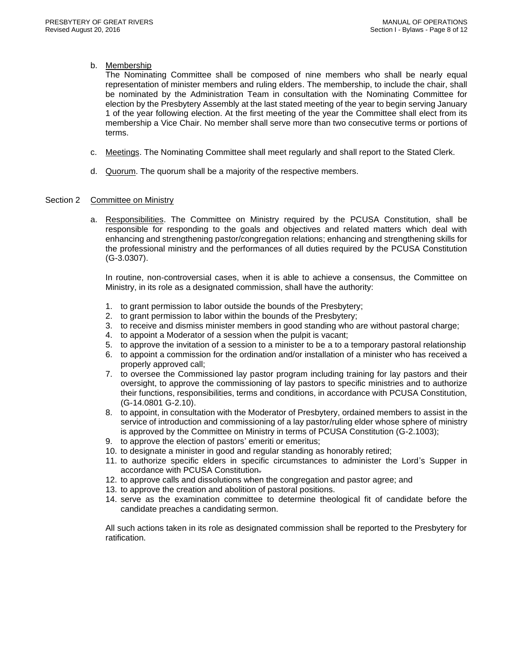#### b. Membership

The Nominating Committee shall be composed of nine members who shall be nearly equal representation of minister members and ruling elders. The membership, to include the chair, shall be nominated by the Administration Team in consultation with the Nominating Committee for election by the Presbytery Assembly at the last stated meeting of the year to begin serving January 1 of the year following election. At the first meeting of the year the Committee shall elect from its membership a Vice Chair. No member shall serve more than two consecutive terms or portions of terms.

- c. Meetings. The Nominating Committee shall meet regularly and shall report to the Stated Clerk.
- d. Quorum. The quorum shall be a majority of the respective members.

#### Section 2 Committee on Ministry

a. Responsibilities. The Committee on Ministry required by the PCUSA Constitution, shall be responsible for responding to the goals and objectives and related matters which deal with enhancing and strengthening pastor/congregation relations; enhancing and strengthening skills for the professional ministry and the performances of all duties required by the PCUSA Constitution (G-3.0307).

In routine, non-controversial cases, when it is able to achieve a consensus, the Committee on Ministry, in its role as a designated commission, shall have the authority:

- 1. to grant permission to labor outside the bounds of the Presbytery;
- 2. to grant permission to labor within the bounds of the Presbytery;
- 3. to receive and dismiss minister members in good standing who are without pastoral charge;
- 4. to appoint a Moderator of a session when the pulpit is vacant;
- 5. to approve the invitation of a session to a minister to be a to a temporary pastoral relationship
- 6. to appoint a commission for the ordination and/or installation of a minister who has received a properly approved call;
- 7. to oversee the Commissioned lay pastor program including training for lay pastors and their oversight, to approve the commissioning of lay pastors to specific ministries and to authorize their functions, responsibilities, terms and conditions, in accordance with PCUSA Constitution, (G-14.0801 G-2.10).
- 8. to appoint, in consultation with the Moderator of Presbytery, ordained members to assist in the service of introduction and commissioning of a lay pastor/ruling elder whose sphere of ministry is approved by the Committee on Ministry in terms of PCUSA Constitution (G-2.1003);
- 9. to approve the election of pastors' emeriti or emeritus;
- 10. to designate a minister in good and regular standing as honorably retired;
- 11. to authorize specific elders in specific circumstances to administer the Lord's Supper in accordance with PCUSA Constitution.
- 12. to approve calls and dissolutions when the congregation and pastor agree; and
- 13. to approve the creation and abolition of pastoral positions.
- 14. serve as the examination committee to determine theological fit of candidate before the candidate preaches a candidating sermon.

All such actions taken in its role as designated commission shall be reported to the Presbytery for ratification.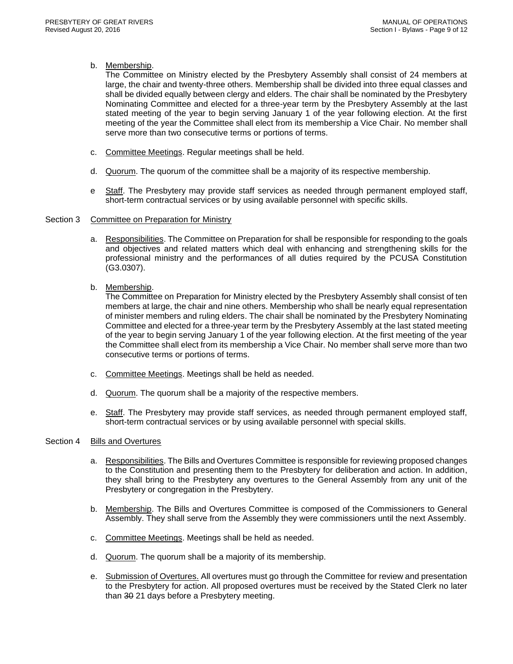#### b. Membership.

The Committee on Ministry elected by the Presbytery Assembly shall consist of 24 members at large, the chair and twenty-three others. Membership shall be divided into three equal classes and shall be divided equally between clergy and elders. The chair shall be nominated by the Presbytery Nominating Committee and elected for a three-year term by the Presbytery Assembly at the last stated meeting of the year to begin serving January 1 of the year following election. At the first meeting of the year the Committee shall elect from its membership a Vice Chair. No member shall serve more than two consecutive terms or portions of terms.

- c. Committee Meetings. Regular meetings shall be held.
- d. Quorum. The quorum of the committee shall be a majority of its respective membership.
- e Staff. The Presbytery may provide staff services as needed through permanent employed staff, short-term contractual services or by using available personnel with specific skills.

#### Section 3 Committee on Preparation for Ministry

- a. Responsibilities. The Committee on Preparation for shall be responsible for responding to the goals and objectives and related matters which deal with enhancing and strengthening skills for the professional ministry and the performances of all duties required by the PCUSA Constitution (G3.0307).
- b. Membership.

The Committee on Preparation for Ministry elected by the Presbytery Assembly shall consist of ten members at large, the chair and nine others. Membership who shall be nearly equal representation of minister members and ruling elders. The chair shall be nominated by the Presbytery Nominating Committee and elected for a three-year term by the Presbytery Assembly at the last stated meeting of the year to begin serving January 1 of the year following election. At the first meeting of the year the Committee shall elect from its membership a Vice Chair. No member shall serve more than two consecutive terms or portions of terms.

- c. Committee Meetings. Meetings shall be held as needed.
- d. Quorum. The quorum shall be a majority of the respective members.
- e. Staff. The Presbytery may provide staff services, as needed through permanent employed staff, short-term contractual services or by using available personnel with special skills.

#### Section 4 Bills and Overtures

- a. Responsibilities. The Bills and Overtures Committee is responsible for reviewing proposed changes to the Constitution and presenting them to the Presbytery for deliberation and action. In addition, they shall bring to the Presbytery any overtures to the General Assembly from any unit of the Presbytery or congregation in the Presbytery.
- b. Membership. The Bills and Overtures Committee is composed of the Commissioners to General Assembly. They shall serve from the Assembly they were commissioners until the next Assembly.
- c. Committee Meetings. Meetings shall be held as needed.
- d. Quorum. The quorum shall be a majority of its membership.
- e. Submission of Overtures. All overtures must go through the Committee for review and presentation to the Presbytery for action. All proposed overtures must be received by the Stated Clerk no later than 30 21 days before a Presbytery meeting.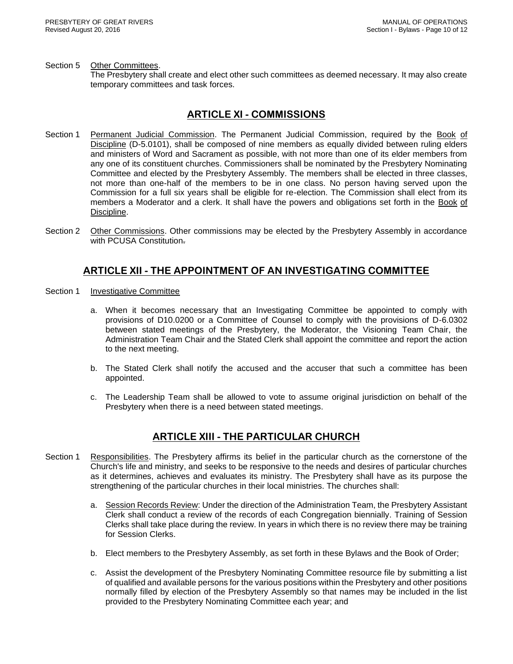#### Section 5 Other Committees.

The Presbytery shall create and elect other such committees as deemed necessary. It may also create temporary committees and task forces.

#### **ARTICLE XI - COMMISSIONS**

- <span id="page-10-0"></span>Section 1 Permanent Judicial Commission. The Permanent Judicial Commission, required by the Book of Discipline (D-5.0101), shall be composed of nine members as equally divided between ruling elders and ministers of Word and Sacrament as possible, with not more than one of its elder members from any one of its constituent churches. Commissioners shall be nominated by the Presbytery Nominating Committee and elected by the Presbytery Assembly. The members shall be elected in three classes, not more than one-half of the members to be in one class. No person having served upon the Commission for a full six years shall be eligible for re-election. The Commission shall elect from its members a Moderator and a clerk. It shall have the powers and obligations set forth in the Book of Discipline.
- Section 2 Other Commissions. Other commissions may be elected by the Presbytery Assembly in accordance with PCUSA Constitution.

#### **ARTICLE XII - THE APPOINTMENT OF AN INVESTIGATING COMMITTEE**

- <span id="page-10-1"></span>Section 1 Investigative Committee
	- a. When it becomes necessary that an Investigating Committee be appointed to comply with provisions of D10.0200 or a Committee of Counsel to comply with the provisions of D-6.0302 between stated meetings of the Presbytery, the Moderator, the Visioning Team Chair, the Administration Team Chair and the Stated Clerk shall appoint the committee and report the action to the next meeting.
	- b. The Stated Clerk shall notify the accused and the accuser that such a committee has been appointed.
	- c. The Leadership Team shall be allowed to vote to assume original jurisdiction on behalf of the Presbytery when there is a need between stated meetings.

#### **ARTICLE XIII - THE PARTICULAR CHURCH**

- <span id="page-10-2"></span>Section 1 Responsibilities. The Presbytery affirms its belief in the particular church as the cornerstone of the Church's life and ministry, and seeks to be responsive to the needs and desires of particular churches as it determines, achieves and evaluates its ministry. The Presbytery shall have as its purpose the strengthening of the particular churches in their local ministries. The churches shall:
	- a. Session Records Review: Under the direction of the Administration Team, the Presbytery Assistant Clerk shall conduct a review of the records of each Congregation biennially. Training of Session Clerks shall take place during the review. In years in which there is no review there may be training for Session Clerks.
	- b. Elect members to the Presbytery Assembly, as set forth in these Bylaws and the Book of Order;
	- c. Assist the development of the Presbytery Nominating Committee resource file by submitting a list of qualified and available persons for the various positions within the Presbytery and other positions normally filled by election of the Presbytery Assembly so that names may be included in the list provided to the Presbytery Nominating Committee each year; and